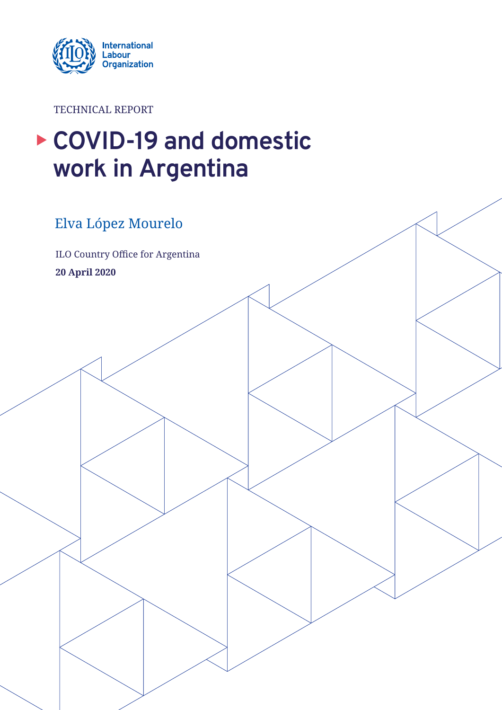

TECHNICAL REPORT

# ▶ COVID-19 and domestic **work in Argentina**

### Elva López Mourelo

ILO Country Office for Argentina **20 April 2020**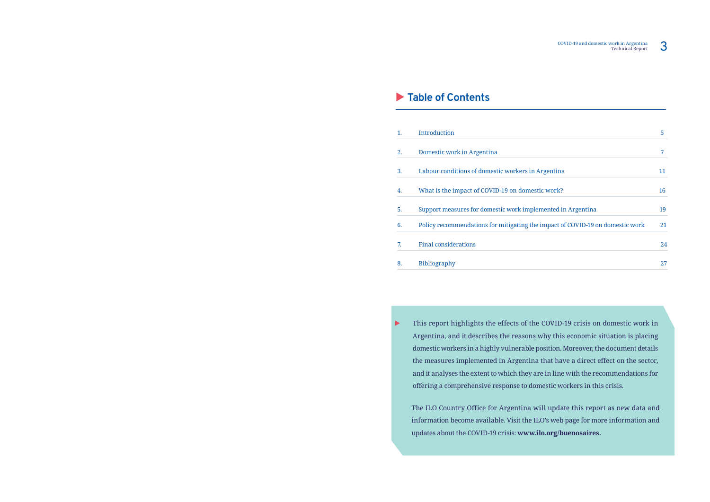### X **Table of Contents**

This report highlights the effects of the COVID-19 crisis on domestic work in

 $\blacktriangleright$ Argentina, and it describes the reasons why this economic situation is placing domestic workers in a highly vulnerable position. Moreover, the document details the measures implemented in Argentina that have a direct effect on the sector, and it analyses the extent to which they are in line with the recommendations for offering a comprehensive response to domestic workers in this crisis.

| 1. | <b>Introduction</b>                                                           | 5  |
|----|-------------------------------------------------------------------------------|----|
| 2. | Domestic work in Argentina                                                    | 7  |
| 3. | Labour conditions of domestic workers in Argentina                            | 11 |
| 4. | What is the impact of COVID-19 on domestic work?                              | 16 |
| 5. | Support measures for domestic work implemented in Argentina                   | 19 |
| 6. | Policy recommendations for mitigating the impact of COVID-19 on domestic work | 21 |
| 7. | <b>Final considerations</b>                                                   | 24 |
| 8. | <b>Bibliography</b>                                                           | 27 |

The ILO Country Office for Argentina will update this report as new data and information become available. Visit the ILO's web page for more information and updates about the COVID-19 crisis: **www.ilo.org/buenosaires.**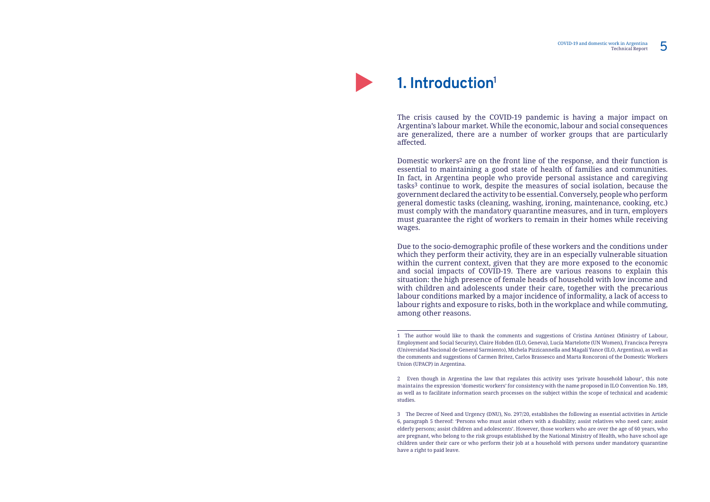**1. Introduction1**

The crisis caused by the COVID-19 pandemic is having a major impact on Argentina's labour market. While the economic, labour and social consequences are generalized, there are a number of worker groups that are particularly affected.

Domestic workers2 are on the front line of the response, and their function is essential to maintaining a good state of health of families and communities. In fact, in Argentina people who provide personal assistance and caregiving tasks3 continue to work, despite the measures of social isolation, because the government declared the activity to be essential. Conversely, people who perform general domestic tasks (cleaning, washing, ironing, maintenance, cooking, etc.) must comply with the mandatory quarantine measures, and in turn, employers must guarantee the right of workers to remain in their homes while receiving wages.

Due to the socio-demographic profile of these workers and the conditions under which they perform their activity, they are in an especially vulnerable situation within the current context, given that they are more exposed to the economic and social impacts of COVID-19. There are various reasons to explain this situation: the high presence of female heads of household with low income and with children and adolescents under their care, together with the precarious labour conditions marked by a major incidence of informality, a lack of access to labour rights and exposure to risks, both in the workplace and while commuting, among other reasons.

2 Even though in Argentina the law that regulates this activity uses 'private household labour', this note

<sup>1</sup> The author would like to thank the comments and suggestions of Cristina Antúnez (Ministry of Labour, Employment and Social Security), Claire Hobden (ILO, Geneva), Lucía Martelotte (UN Women), Francisca Pereyra (Universidad Nacional de General Sarmiento), Michela Pizzicannella and Magalí Yance (ILO, Argentina), as well as the comments and suggestions of Carmen Britez, Carlos Brassesco and Marta Roncoroni of the Domestic Workers Union (UPACP) in Argentina.

maintains the expression 'domestic workers' for consistency with the name proposed in ILO Convention No. 189, as well as to facilitate information search processes on the subject within the scope of technical and academic studies.

<sup>3</sup> The Decree of Need and Urgency (DNU), No. 297/20, establishes the following as essential activities in Article 6, paragraph 5 thereof: 'Persons who must assist others with a disability; assist relatives who need care; assist elderly persons; assist children and adolescents'. However, those workers who are over the age of 60 years, who are pregnant, who belong to the risk groups established by the National Ministry of Health, who have school age children under their care or who perform their job at a household with persons under mandatory quarantine have a right to paid leave.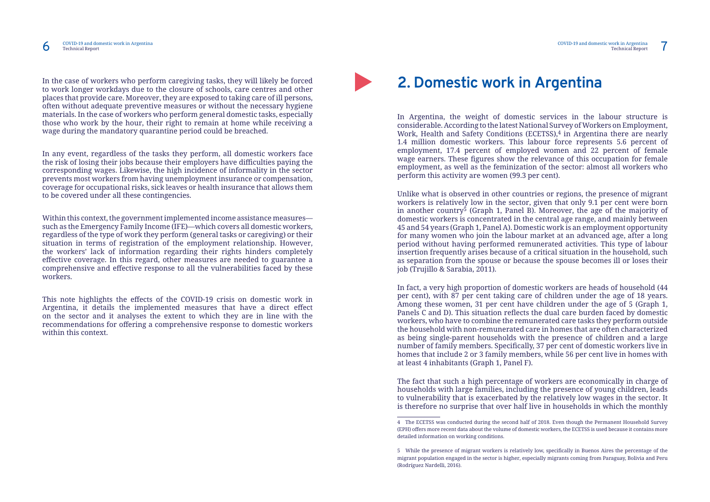In the case of workers who perform caregiving tasks, they will likely be forced to work longer workdays due to the closure of schools, care centres and other places that provide care. Moreover, they are exposed to taking care of ill persons, often without adequate preventive measures or without the necessary hygiene materials. In the case of workers who perform general domestic tasks, especially those who work by the hour, their right to remain at home while receiving a wage during the mandatory quarantine period could be breached.

This note highlights the effects of the COVID-19 crisis on domestic work in Argentina, it details the implemented measures that have a direct effect on the sector and it analyses the extent to which they are in line with the recommendations for offering a comprehensive response to domestic workers within this context.



In any event, regardless of the tasks they perform, all domestic workers face the risk of losing their jobs because their employers have difficulties paying the corresponding wages. Likewise, the high incidence of informality in the sector prevents most workers from having unemployment insurance or compensation, coverage for occupational risks, sick leaves or health insurance that allows them to be covered under all these contingencies.

Within this context, the government implemented income assistance measures such as the Emergency Family Income (IFE)—which covers all domestic workers, regardless of the type of work they perform (general tasks or caregiving) or their situation in terms of registration of the employment relationship. However, the workers' lack of information regarding their rights hinders completely effective coverage. In this regard, other measures are needed to guarantee a comprehensive and effective response to all the vulnerabilities faced by these workers.

### **2. Domestic work in Argentina**

In Argentina, the weight of domestic services in the labour structure is considerable. According to the latest National Survey of Workers on Employment, Work, Health and Safety Conditions (ECETSS),<sup>4</sup> in Argentina there are nearly 1.4 million domestic workers. This labour force represents 5.6 percent of employment, 17.4 percent of employed women and 22 percent of female wage earners. These figures show the relevance of this occupation for female employment, as well as the feminization of the sector: almost all workers who perform this activity are women (99.3 per cent).

Unlike what is observed in other countries or regions, the presence of migrant workers is relatively low in the sector, given that only 9.1 per cent were born in another country5 (Graph 1, Panel B). Moreover, the age of the majority of domestic workers is concentrated in the central age range, and mainly between 45 and 54 years (Graph 1, Panel A). Domestic work is an employment opportunity for many women who join the labour market at an advanced age, after a long period without having performed remunerated activities. This type of labour insertion frequently arises because of a critical situation in the household, such as separation from the spouse or because the spouse becomes ill or loses their job (Trujillo & Sarabia, 2011).

In fact, a very high proportion of domestic workers are heads of household (44 per cent), with 87 per cent taking care of children under the age of 18 years. Among these women, 31 per cent have children under the age of 5 (Graph 1, Panels C and D). This situation reflects the dual care burden faced by domestic workers, who have to combine the remunerated care tasks they perform outside the household with non-remunerated care in homes that are often characterized as being single-parent households with the presence of children and a large number of family members. Specifically, 37 per cent of domestic workers live in homes that include 2 or 3 family members, while 56 per cent live in homes with at least 4 inhabitants (Graph 1, Panel F).

The fact that such a high percentage of workers are economically in charge of households with large families, including the presence of young children, leads to vulnerability that is exacerbated by the relatively low wages in the sector. It is therefore no surprise that over half live in households in which the monthly

4 The ECETSS was conducted during the second half of 2018. Even though the Permanent Household Survey

<sup>(</sup>EPH) offers more recent data about the volume of domestic workers, the ECETSS is used because it contains more detailed information on working conditions.

<sup>5</sup> While the presence of migrant workers is relatively low, specifically in Buenos Aires the percentage of the migrant population engaged in the sector is higher, especially migrants coming from Paraguay, Bolivia and Peru (Rodríguez Nardelli, 2016).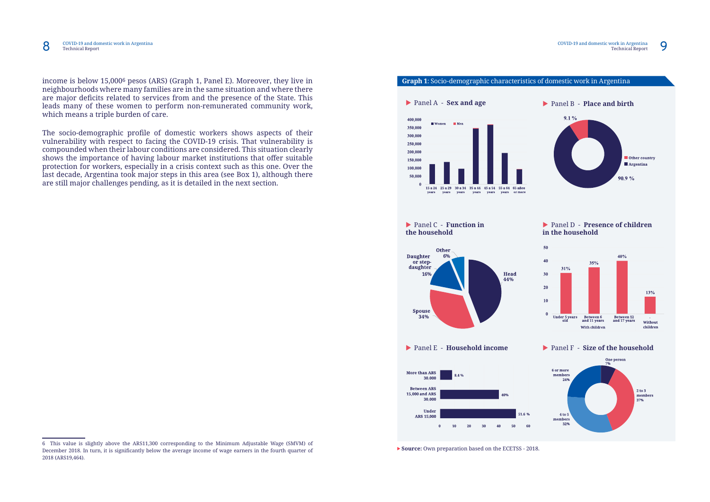

### **Graph 1**: Socio-demographic characteristics of domestic work in Argentina

### ▶ Panel **D** - **Presence of children in the household**



#### X Panel A - **Sex and age**



X Panel C - **Function in the household**



### X Panel E - **Household income**









income is below 15,0006 pesos (ARS) (Graph 1, Panel E). Moreover, they live in neighbourhoods where many families are in the same situation and where there are major deficits related to services from and the presence of the State. This leads many of these women to perform non-remunerated community work, which means a triple burden of care.

The socio-demographic profile of domestic workers shows aspects of their vulnerability with respect to facing the COVID-19 crisis. That vulnerability is compounded when their labour conditions are considered. This situation clearly shows the importance of having labour market institutions that offer suitable protection for workers, especially in a crisis context such as this one. Over the last decade, Argentina took major steps in this area (see Box 1), although there are still major challenges pending, as it is detailed in the next section.

▶ **Source:** Own preparation based on the ECETSS - 2018.

<sup>6</sup> This value is slightly above the ARS11,300 corresponding to the Minimum Adjustable Wage (SMVM) of December 2018. In turn, it is significantly below the average income of wage earners in the fourth quarter of 2018 (ARS19,464).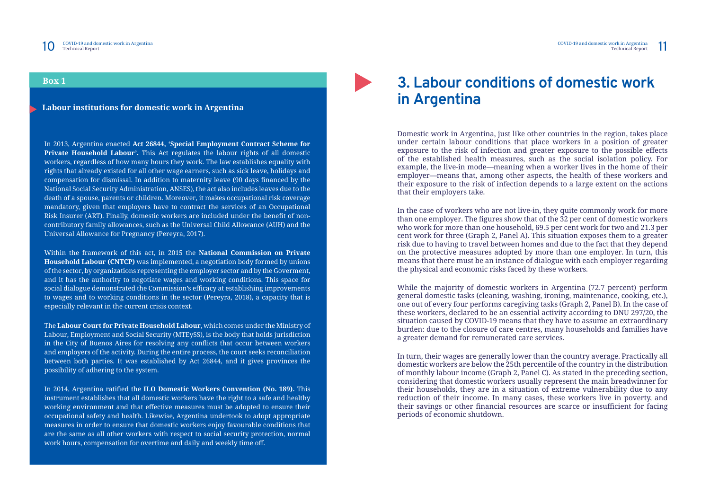### **3. Labour conditions of domestic work in Argentina**

Domestic work in Argentina, just like other countries in the region, takes place under certain labour conditions that place workers in a position of greater exposure to the risk of infection and greater exposure to the possible effects of the established health measures, such as the social isolation policy. For example, the live-in mode—meaning when a worker lives in the home of their employer—means that, among other aspects, the health of these workers and their exposure to the risk of infection depends to a large extent on the actions that their employers take.

In the case of workers who are not live-in, they quite commonly work for more than one employer. The figures show that of the 32 per cent of domestic workers who work for more than one household, 69.5 per cent work for two and 21.3 per cent work for three (Graph 2, Panel A). This situation exposes them to a greater risk due to having to travel between homes and due to the fact that they depend on the protective measures adopted by more than one employer. In turn, this means that there must be an instance of dialogue with each employer regarding the physical and economic risks faced by these workers.

While the majority of domestic workers in Argentina (72.7 percent) perform general domestic tasks (cleaning, washing, ironing, maintenance, cooking, etc.), one out of every four performs caregiving tasks (Graph 2, Panel B). In the case of these workers, declared to be an essential activity according to DNU 297/20, the situation caused by COVID-19 means that they have to assume an extraordinary burden: due to the closure of care centres, many households and families have a greater demand for remunerated care services.

In turn, their wages are generally lower than the country average. Practically all domestic workers are below the 25th percentile of the country in the distribution of monthly labour income (Graph 2, Panel C). As stated in the preceding section, considering that domestic workers usually represent the main breadwinner for their households, they are in a situation of extreme vulnerability due to any reduction of their income. In many cases, these workers live in poverty, and their savings or other financial resources are scarce or insufficient for facing periods of economic shutdown.

**Labour institutions for domestic work in Argentina**

### **Box 1**

In 2013, Argentina enacted **Act 26844, 'Special Employment Contract Scheme for Private Household Labour'.** This Act regulates the labour rights of all domestic workers, regardless of how many hours they work. The law establishes equality with rights that already existed for all other wage earners, such as sick leave, holidays and compensation for dismissal. In addition to maternity leave (90 days financed by the National Social Security Administration, ANSES), the act also includes leaves due to the death of a spouse, parents or children. Moreover, it makes occupational risk coverage mandatory, given that employers have to contract the services of an Occupational Risk Insurer (ART). Finally, domestic workers are included under the benefit of noncontributory family allowances, such as the Universal Child Allowance (AUH) and the Universal Allowance for Pregnancy (Pereyra, 2017).

Within the framework of this act, in 2015 the **National Commission on Private Household Labour (CNTCP)** was implemented, a negotiation body formed by unions of the sector, by organizations representing the employer sector and by the Goverment, and it has the authority to negotiate wages and working conditions. This space for social dialogue demonstrated the Commission's efficacy at establishing improvements to wages and to working conditions in the sector (Pereyra, 2018), a capacity that is especially relevant in the current crisis context.

The **Labour Court for Private Household Labour**, which comes under the Ministry of Labour, Employment and Social Security (MTEySS), is the body that holds jurisdiction in the City of Buenos Aires for resolving any conflicts that occur between workers and employers of the activity. During the entire process, the court seeks reconciliation between both parties. It was established by Act 26844, and it gives provinces the possibility of adhering to the system.

In 2014, Argentina ratified the **ILO Domestic Workers Convention (No. 189).** This instrument establishes that all domestic workers have the right to a safe and healthy working environment and that effective measures must be adopted to ensure their occupational safety and health. Likewise, Argentina undertook to adopt appropriate measures in order to ensure that domestic workers enjoy favourable conditions that are the same as all other workers with respect to social security protection, normal work hours, compensation for overtime and daily and weekly time off.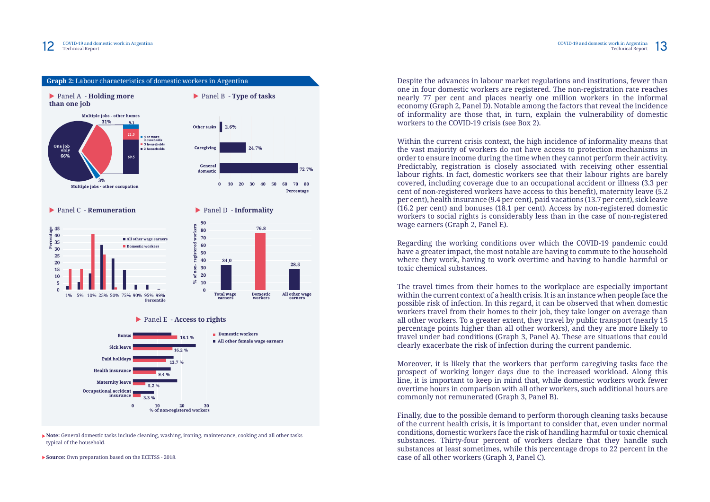**Note:** General domestic tasks include cleaning, washing, ironing, maintenance, cooking and all other tasks typical of the household.

**Source:** Own preparation based on the ECETSS - 2018.

Despite the advances in labour market regulations and institutions, fewer than one in four domestic workers are registered. The non-registration rate reaches nearly 77 per cent and places nearly one million workers in the informal economy (Graph 2, Panel D). Notable among the factors that reveal the incidence of informality are those that, in turn, explain the vulnerability of domestic workers to the COVID-19 crisis (see Box 2).

Within the current crisis context, the high incidence of informality means that the vast majority of workers do not have access to protection mechanisms in order to ensure income during the time when they cannot perform their activity. Predictably, registration is closely associated with receiving other essential labour rights. In fact, domestic workers see that their labour rights are barely covered, including coverage due to an occupational accident or illness (3.3 per cent of non-registered workers have access to this benefit), maternity leave (5.2 per cent), health insurance (9.4 per cent), paid vacations (13.7 per cent), sick leave (16.2 per cent) and bonuses (18.1 per cent). Access by non-registered domestic workers to social rights is considerably less than in the case of non-registered wage earners (Graph 2, Panel E).



Regarding the working conditions over which the COVID-19 pandemic could have a greater impact, the most notable are having to commute to the household where they work, having to work overtime and having to handle harmful or toxic chemical substances.

The travel times from their homes to the workplace are especially important within the current context of a health crisis. It is an instance when people face the possible risk of infection. In this regard, it can be observed that when domestic workers travel from their homes to their job, they take longer on average than all other workers. To a greater extent, they travel by public transport (nearly 15 percentage points higher than all other workers), and they are more likely to travel under bad conditions (Graph 3, Panel A). These are situations that could clearly exacerbate the risk of infection during the current pandemic.

Moreover, it is likely that the workers that perform caregiving tasks face the prospect of working longer days due to the increased workload. Along this line, it is important to keep in mind that, while domestic workers work fewer overtime hours in comparison with all other workers, such additional hours are commonly not remunerated (Graph 3, Panel B).

Finally, due to the possible demand to perform thorough cleaning tasks because of the current health crisis, it is important to consider that, even under normal conditions, domestic workers face the risk of handling harmful or toxic chemical substances. Thirty-four percent of workers declare that they handle such substances at least sometimes, while this percentage drops to 22 percent in the case of all other workers (Graph 3, Panel C).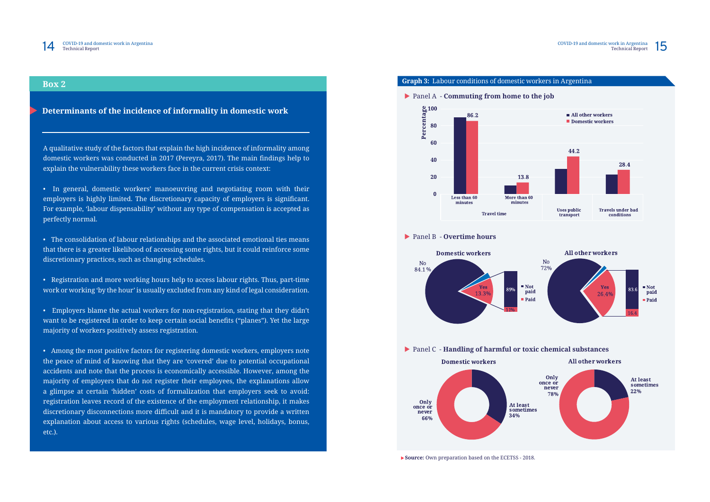



**Source:** Own preparation based on the ECETSS - 2018.

**Determinants of the incidence of informality in domestic work**

### **Box 2**

A qualitative study of the factors that explain the high incidence of informality among domestic workers was conducted in 2017 (Pereyra, 2017). The main findings help to explain the vulnerability these workers face in the current crisis context:

• In general, domestic workers' manoeuvring and negotiating room with their employers is highly limited. The discretionary capacity of employers is significant. For example, 'labour dispensability' without any type of compensation is accepted as perfectly normal.

• The consolidation of labour relationships and the associated emotional ties means that there is a greater likelihood of accessing some rights, but it could reinforce some discretionary practices, such as changing schedules.

• Registration and more working hours help to access labour rights. Thus, part-time work or working 'by the hour' is usually excluded from any kind of legal consideration.

• Employers blame the actual workers for non-registration, stating that they didn't want to be registered in order to keep certain social benefits ("planes"). Yet the large majority of workers positively assess registration.

• Among the most positive factors for registering domestic workers, employers note the peace of mind of knowing that they are 'covered' due to potential occupational accidents and note that the process is economically accessible. However, among the majority of employers that do not register their employees, the explanations allow a glimpse at certain 'hidden' costs of formalization that employers seek to avoid: registration leaves record of the existence of the employment relationship, it makes discretionary disconnections more difficult and it is mandatory to provide a written explanation about access to various rights (schedules, wage level, holidays, bonus, etc.).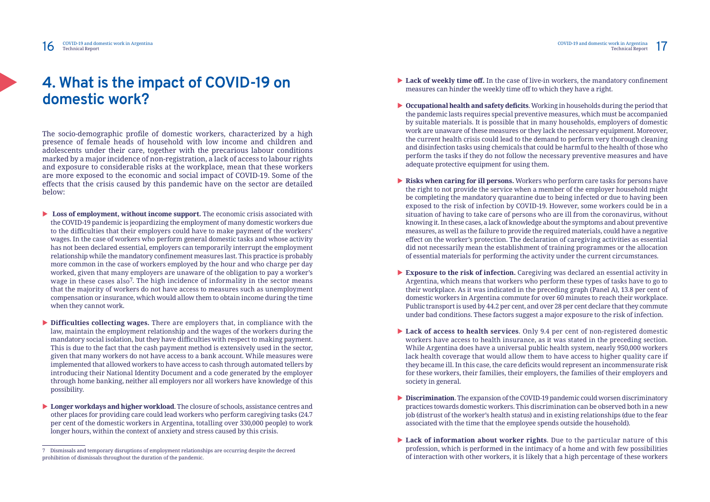### **4. What is the impact of COVID-19 on domestic work?**

The socio-demographic profile of domestic workers, characterized by a high presence of female heads of household with low income and children and adolescents under their care, together with the precarious labour conditions marked by a major incidence of non-registration, a lack of access to labour rights and exposure to considerable risks at the workplace, mean that these workers are more exposed to the economic and social impact of COVID-19. Some of the effects that the crisis caused by this pandemic have on the sector are detailed below:

- ▶ Loss of employment, without income support. The economic crisis associated with the COVID-19 pandemic is jeopardizing the employment of many domestic workers due to the difficulties that their employers could have to make payment of the workers' wages. In the case of workers who perform general domestic tasks and whose activity has not been declared essential, employers can temporarily interrupt the employment relationship while the mandatory confinement measures last. This practice is probably more common in the case of workers employed by the hour and who charge per day worked, given that many employers are unaware of the obligation to pay a worker's wage in these cases also<sup>7</sup>. The high incidence of informality in the sector means that the majority of workers do not have access to measures such as unemployment compensation or insurance, which would allow them to obtain income during the time when they cannot work.
- **Difficulties collecting wages.** There are employers that, in compliance with the law, maintain the employment relationship and the wages of the workers during the mandatory social isolation, but they have difficulties with respect to making payment. This is due to the fact that the cash payment method is extensively used in the sector, given that many workers do not have access to a bank account. While measures were implemented that allowed workers to have access to cash through automated tellers by introducing their National Identity Document and a code generated by the employer through home banking, neither all employers nor all workers have knowledge of this possibility.
- ▶ Longer workdays and higher workload. The closure of schools, assistance centres and other places for providing care could lead workers who perform caregiving tasks (24.7 per cent of the domestic workers in Argentina, totalling over 330,000 people) to work longer hours, within the context of anxiety and stress caused by this crisis.
- ▶ Lack of weekly time off. In the case of live-in workers, the mandatory confinement measures can hinder the weekly time off to which they have a right.
- ▶ Occupational health and safety deficits. Working in households during the period that the pandemic lasts requires special preventive measures, which must be accompanied by suitable materials. It is possible that in many households, employers of domestic work are unaware of these measures or they lack the necessary equipment. Moreover, the current health crisis could lead to the demand to perform very thorough cleaning and disinfection tasks using chemicals that could be harmful to the health of those who perform the tasks if they do not follow the necessary preventive measures and have adequate protective equipment for using them.
- **Risks when caring for ill persons.** Workers who perform care tasks for persons have of essential materials for performing the activity under the current circumstances.
- ▶ Exposure to the risk of infection. Caregiving was declared an essential activity in Argentina, which means that workers who perform these types of tasks have to go to domestic workers in Argentina commute for over 60 minutes to reach their workplace. Public transport is used by 44.2 per cent, and over 28 per cent declare that they commute under bad conditions. These factors suggest a major exposure to the risk of infection.
- ▶ Lack of access to health services. Only 9.4 per cent of non-registered domestic While Argentina does have a universal public health system, nearly 950,000 workers they became ill. In this case, the care deficits would represent an incommensurate risk for these workers, their families, their employers, the families of their employers and society in general.
- **Discrimination**. The expansion of the COVID-19 pandemic could worsen discriminatory practices towards domestic workers. This discrimination can be observed both in a new job (distrust of the worker's health status) and in existing relationships (due to the fear associated with the time that the employee spends outside the household).
- ▶ Lack of information about worker rights. Due to the particular nature of this profession, which is performed in the intimacy of a home and with few possibilities of interaction with other workers, it is likely that a high percentage of these workers

the right to not provide the service when a member of the employer household might be completing the mandatory quarantine due to being infected or due to having been exposed to the risk of infection by COVID-19. However, some workers could be in a situation of having to take care of persons who are ill from the coronavirus, without knowing it. In these cases, a lack of knowledge about the symptoms and about preventive measures, as well as the failure to provide the required materials, could have a negative effect on the worker's protection. The declaration of caregiving activities as essential did not necessarily mean the establishment of training programmes or the allocation

their workplace. As it was indicated in the preceding graph (Panel A), 13.8 per cent of

workers have access to health insurance, as it was stated in the preceding section. lack health coverage that would allow them to have access to higher quality care if

<sup>7</sup> Dismissals and temporary disruptions of employment relationships are occurring despite the decreed prohibition of dismissals throughout the duration of the pandemic.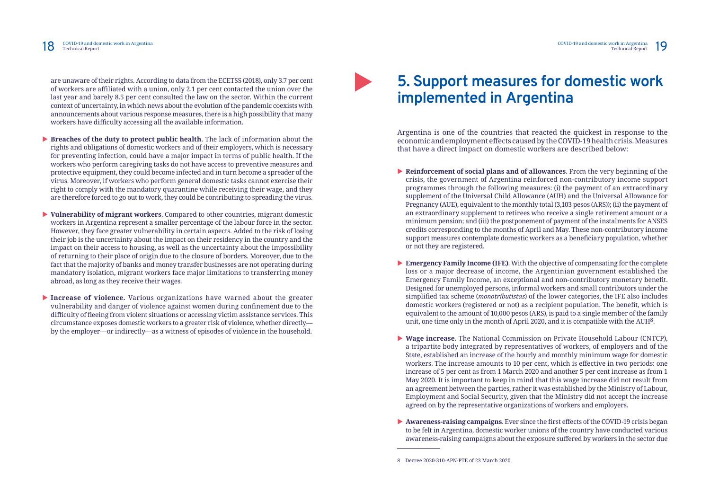are unaware of their rights. According to data from the ECETSS (2018), only 3.7 per cent of workers are affiliated with a union, only 2.1 per cent contacted the union over the last year and barely 8.5 per cent consulted the law on the sector. Within the current context of uncertainty, in which news about the evolution of the pandemic coexists with announcements about various response measures, there is a high possibility that many workers have difficulty accessing all the available information.

- ▶ **Breaches of the duty to protect public health**. The lack of information about the rights and obligations of domestic workers and of their employers, which is necessary for preventing infection, could have a major impact in terms of public health. If the workers who perform caregiving tasks do not have access to preventive measures and protective equipment, they could become infected and in turn become a spreader of the virus. Moreover, if workers who perform general domestic tasks cannot exercise their right to comply with the mandatory quarantine while receiving their wage, and they are therefore forced to go out to work, they could be contributing to spreading the virus.
- ▶ **Vulnerability of migrant workers**. Compared to other countries, migrant domestic workers in Argentina represent a smaller percentage of the labour force in the sector. However, they face greater vulnerability in certain aspects. Added to the risk of losing their job is the uncertainty about the impact on their residency in the country and the impact on their access to housing, as well as the uncertainty about the impossibility of returning to their place of origin due to the closure of borders. Moreover, due to the fact that the majority of banks and money transfer businesses are not operating during mandatory isolation, migrant workers face major limitations to transferring money abroad, as long as they receive their wages.
- **Increase of violence.** Various organizations have warned about the greater vulnerability and danger of violence against women during confinement due to the difficulty of fleeing from violent situations or accessing victim assistance services. This circumstance exposes domestic workers to a greater risk of violence, whether directly by the employer—or indirectly—as a witness of episodes of violence in the household.

# **5. Support measures for domestic work implemented in Argentina**

- **Reinforcement of social plans and of allowances**. From the very beginning of the crisis, the government of Argentina reinforced non-contributory income support programmes through the following measures: (i) the payment of an extraordinary supplement of the Universal Child Allowance (AUH) and the Universal Allowance for Pregnancy (AUE), equivalent to the monthly total (3,103 pesos (ARS)); (ii) the payment of an extraordinary supplement to retirees who receive a single retirement amount or a minimum pension; and (iii) the postponement of payment of the instalments for ANSES credits corresponding to the months of April and May. These non-contributory income support measures contemplate domestic workers as a beneficiary population, whether or not they are registered.
- ▶ **Emergency Family Income (IFE)**. With the objective of compensating for the complete unit, one time only in the month of April 2020, and it is compatible with the AUH8.
- ▶ Wage increase. The National Commission on Private Household Labour (CNTCP), increase of 5 per cent as from 1 March 2020 and another 5 per cent increase as from 1 an agreement between the parties, rather it was established by the Ministry of Labour, Employment and Social Security, given that the Ministry did not accept the increase agreed on by the representative organizations of workers and employers.
- ▶ **Awareness-raising campaigns**. Ever since the first effects of the COVID-19 crisis began to be felt in Argentina, domestic worker unions of the country have conducted various awareness-raising campaigns about the exposure suffered by workers in the sector due

Argentina is one of the countries that reacted the quickest in response to the economic and employment effects caused by the COVID-19 health crisis. Measures that have a direct impact on domestic workers are described below:

loss or a major decrease of income, the Argentinian government established the Emergency Family Income, an exceptional and non-contributory monetary benefit. Designed for unemployed persons, informal workers and small contributors under the simplified tax scheme (*monotributistas*) of the lower categories, the IFE also includes domestic workers (registered or not) as a recipient population. The benefit, which is equivalent to the amount of 10,000 pesos (ARS), is paid to a single member of the family

a tripartite body integrated by representatives of workers, of employers and of the State, established an increase of the hourly and monthly minimum wage for domestic workers. The increase amounts to 10 per cent, which is effective in two periods: one May 2020. It is important to keep in mind that this wage increase did not result from

<sup>8</sup> Decree 2020-310-APN-PTE of 23 March 2020.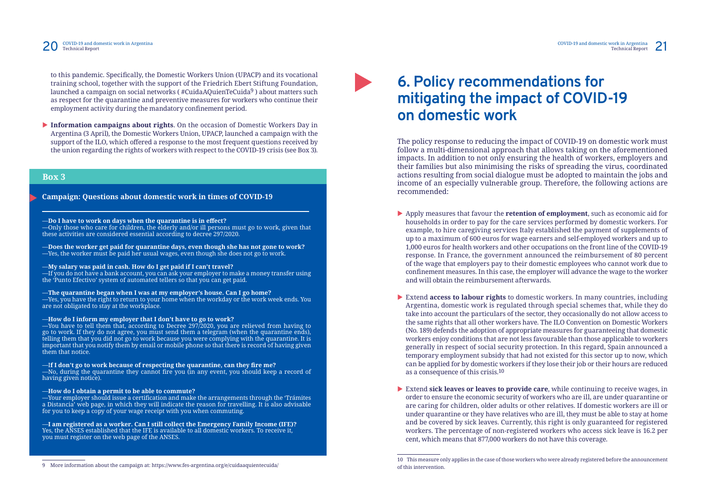to this pandemic. Specifically, the Domestic Workers Union (UPACP) and its vocational training school, together with the support of the Friedrich Ebert Stiftung Foundation, launched a campaign on social networks ( #CuidaAQuienTeCuida9 ) about matters such as respect for the quarantine and preventive measures for workers who continue their employment activity during the mandatory confinement period.

**Information campaigns about rights**. On the occasion of Domestic Workers Day in Argentina (3 April), the Domestic Workers Union, UPACP, launched a campaign with the support of the ILO, which offered a response to the most frequent questions received by the union regarding the rights of workers with respect to the COVID-19 crisis (see Box 3).

9 More information about the campaign at: https://www.fes-argentina.org/e/cuidaaquientecuida/

### **Campaign: Questions about domestic work in times of COVID-19**

### **Box 3**

# **6. Policy recommendations for mitigating the impact of COVID-19 on domestic work**

The policy response to reducing the impact of COVID-19 on domestic work must follow a multi-dimensional approach that allows taking on the aforementioned impacts. In addition to not only ensuring the health of workers, employers and their families but also minimising the risks of spreading the virus, coordinated actions resulting from social dialogue must be adopted to maintain the jobs and income of an especially vulnerable group. Therefore, the following actions are recommended:

 $-I$ f you do not have a bank account, you can ask your employer to make a money transfer using the 'Punto Efectivo' system of automated tellers so that you can get paid.

 $-$ Yes, you have the right to return to your home when the workday or the work week ends. You are not obligated to stay at the workplace.

- X Apply measures that favour the **retention of employment**, such as economic aid for households in order to pay for the care services performed by domestic workers. For example, to hire caregiving services Italy established the payment of supplements of up to a maximum of 600 euros for wage earners and self-employed workers and up to 1,000 euros for health workers and other occupations on the front line of the COVID-19 response. In France, the government announced the reimbursement of 80 percent of the wage that employers pay to their domestic employees who cannot work due to confinement measures. In this case, the employer will advance the wage to the worker and will obtain the reimbursement afterwards.
- Extend **access to labour rights** to domestic workers. In many countries, including Argentina, domestic work is regulated through special schemes that, while they do take into account the particulars of the sector, they occasionally do not allow access to the same rights that all other workers have. The ILO Convention on Domestic Workers (No. 189) defends the adoption of appropriate measures for guaranteeing that domestic workers enjoy conditions that are not less favourable than those applicable to workers generally in respect of social security protection. In this regard, Spain announced a temporary employment subsidy that had not existed for this sector up to now, which can be applied for by domestic workers if they lose their job or their hours are reduced as a consequence of this crisis.10
- **Extend sick leaves or leaves to provide care**, while continuing to receive wages, in cent, which means that 877,000 workers do not have this coverage.

 $-$ No, during the quarantine they cannot fire you (in any event, you should keep a record of having given notice).

 $-$ Your employer should issue a certification and make the arrangements through the 'Trámites  $\,$ a Distancia' web page, in which they will indicate the reason for travelling. It is also advisable for you to keep a copy of your wage receipt with you when commuting.

order to ensure the economic security of workers who are ill, are under quarantine or are caring for children, older adults or other relatives. If domestic workers are ill or under quarantine or they have relatives who are ill, they must be able to stay at home and be covered by sick leaves. Currently, this right is only guaranteed for registered workers. The percentage of non-registered workers who access sick leave is 16.2 per

### —**Do I have to work on days when the quarantine is in effect?**

—Only those who care for children, the elderly and/or ill persons must go to work, given that these activities are considered essential according to decree 297/2020.

—**Does the worker get paid for quarantine days, even though she has not gone to work?** —Yes, the worker must be paid her usual wages, even though she does not go to work.

#### —**My salary was paid in cash. How do I get paid if I can't travel?**

—**The quarantine began when I was at my employer's house. Can I go home?**

—**How do I inform my employer that I don't have to go to work?**

—You have to tell them that, according to Decree 297/2020, you are relieved from having to go to work. If they do not agree, you must send them a telegram (when the quarantine ends), telling them that you did not go to work because you were complying with the quarantine. It is important that you notify them by email or mobile phone so that there is record of having given them that notice.

—I**f I don't go to work because of respecting the quarantine, can they fire me?**

—**How do I obtain a permit to be able to commute?**

—**I am registered as a worker. Can I still collect the Emergency Family Income (IFE)?** Yes, the ANSES established that the IFE is available to all domestic workers. To receive it, you must register on the web page of the ANSES.

<sup>10</sup> This measure only applies in the case of those workers who were already registered before the announcement of this intervention.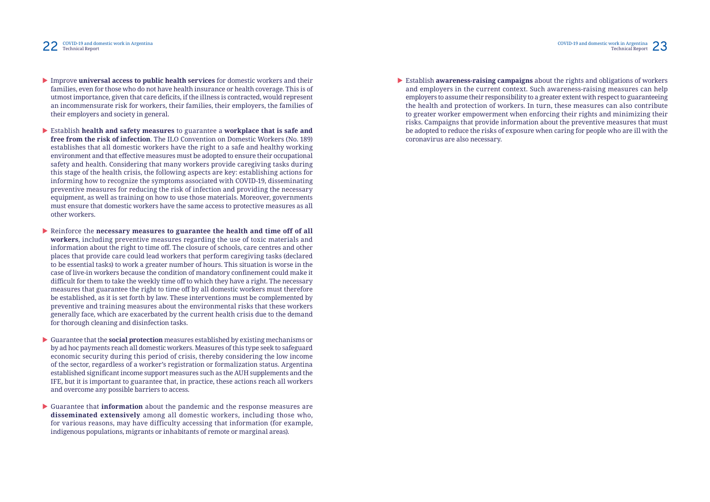

- **Improve universal access to public health services** for domestic workers and their families, even for those who do not have health insurance or health coverage. This is of utmost importance, given that care deficits, if the illness is contracted, would represent an incommensurate risk for workers, their families, their employers, the families of their employers and society in general.
- X Establish **health and safety measures** to guarantee a **workplace that is safe and free from the risk of infection**. The ILO Convention on Domestic Workers (No. 189) establishes that all domestic workers have the right to a safe and healthy working environment and that effective measures must be adopted to ensure their occupational safety and health. Considering that many workers provide caregiving tasks during this stage of the health crisis, the following aspects are key: establishing actions for informing how to recognize the symptoms associated with COVID-19, disseminating preventive measures for reducing the risk of infection and providing the necessary equipment, as well as training on how to use those materials. Moreover, governments must ensure that domestic workers have the same access to protective measures as all other workers.
- ▶ Reinforce the **necessary measures to guarantee the health and time off of all workers**, including preventive measures regarding the use of toxic materials and information about the right to time off. The closure of schools, care centres and other places that provide care could lead workers that perform caregiving tasks (declared to be essential tasks) to work a greater number of hours. This situation is worse in the case of live-in workers because the condition of mandatory confinement could make it difficult for them to take the weekly time off to which they have a right. The necessary measures that guarantee the right to time off by all domestic workers must therefore be established, as it is set forth by law. These interventions must be complemented by preventive and training measures about the environmental risks that these workers generally face, which are exacerbated by the current health crisis due to the demand for thorough cleaning and disinfection tasks.
- X Guarantee that the **social protection** measures established by existing mechanisms or by ad hoc payments reach all domestic workers. Measures of this type seek to safeguard economic security during this period of crisis, thereby considering the low income of the sector, regardless of a worker's registration or formalization status. Argentina established significant income support measures such as the AUH supplements and the IFE, but it is important to guarantee that, in practice, these actions reach all workers and overcome any possible barriers to access.
- X Guarantee that **information** about the pandemic and the response measures are **disseminated extensively** among all domestic workers, including those who, for various reasons, may have difficulty accessing that information (for example, indigenous populations, migrants or inhabitants of remote or marginal areas).

**Establish awareness-raising campaigns** about the rights and obligations of workers the health and protection of workers. In turn, these measures can also contribute to greater worker empowerment when enforcing their rights and minimizing their risks. Campaigns that provide information about the preventive measures that must be adopted to reduce the risks of exposure when caring for people who are ill with the coronavirus are also necessary.

and employers in the current context. Such awareness-raising measures can help employers to assume their responsibility to a greater extent with respect to guaranteeing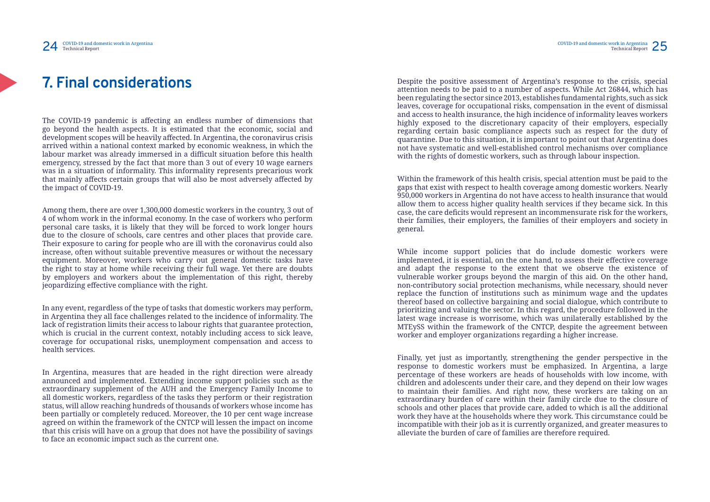# **7. Final considerations**

The COVID-19 pandemic is affecting an endless number of dimensions that go beyond the health aspects. It is estimated that the economic, social and development scopes will be heavily affected. In Argentina, the coronavirus crisis arrived within a national context marked by economic weakness, in which the labour market was already immersed in a difficult situation before this health emergency, stressed by the fact that more than 3 out of every 10 wage earners was in a situation of informality. This informality represents precarious work that mainly affects certain groups that will also be most adversely affected by the impact of COVID-19.

Among them, there are over 1,300,000 domestic workers in the country, 3 out of 4 of whom work in the informal economy. In the case of workers who perform personal care tasks, it is likely that they will be forced to work longer hours due to the closure of schools, care centres and other places that provide care. Their exposure to caring for people who are ill with the coronavirus could also increase, often without suitable preventive measures or without the necessary equipment. Moreover, workers who carry out general domestic tasks have the right to stay at home while receiving their full wage. Yet there are doubts by employers and workers about the implementation of this right, thereby jeopardizing effective compliance with the right.

In any event, regardless of the type of tasks that domestic workers may perform, in Argentina they all face challenges related to the incidence of informality. The lack of registration limits their access to labour rights that guarantee protection, which is crucial in the current context, notably including access to sick leave, coverage for occupational risks, unemployment compensation and access to health services.

In Argentina, measures that are headed in the right direction were already announced and implemented. Extending income support policies such as the extraordinary supplement of the AUH and the Emergency Family Income to all domestic workers, regardless of the tasks they perform or their registration status, will allow reaching hundreds of thousands of workers whose income has been partially or completely reduced. Moreover, the 10 per cent wage increase agreed on within the framework of the CNTCP will lessen the impact on income that this crisis will have on a group that does not have the possibility of savings to face an economic impact such as the current one.

Despite the positive assessment of Argentina's response to the crisis, special attention needs to be paid to a number of aspects. While Act 26844, which has been regulating the sector since 2013, establishes fundamental rights, such as sick leaves, coverage for occupational risks, compensation in the event of dismissal and access to health insurance, the high incidence of informality leaves workers highly exposed to the discretionary capacity of their employers, especially regarding certain basic compliance aspects such as respect for the duty of quarantine. Due to this situation, it is important to point out that Argentina does not have systematic and well-established control mechanisms over compliance with the rights of domestic workers, such as through labour inspection.

Within the framework of this health crisis, special attention must be paid to the gaps that exist with respect to health coverage among domestic workers. Nearly 950,000 workers in Argentina do not have access to health insurance that would allow them to access higher quality health services if they became sick. In this case, the care deficits would represent an incommensurate risk for the workers, their families, their employers, the families of their employers and society in general.

While income support policies that do include domestic workers were implemented, it is essential, on the one hand, to assess their effective coverage and adapt the response to the extent that we observe the existence of vulnerable worker groups beyond the margin of this aid. On the other hand, non-contributory social protection mechanisms, while necessary, should never replace the function of institutions such as minimum wage and the updates thereof based on collective bargaining and social dialogue, which contribute to prioritizing and valuing the sector. In this regard, the procedure followed in the latest wage increase is worrisome, which was unilaterally established by the MTEySS within the framework of the CNTCP, despite the agreement between worker and employer organizations regarding a higher increase.

Finally, yet just as importantly, strengthening the gender perspective in the response to domestic workers must be emphasized. In Argentina, a large percentage of these workers are heads of households with low income, with children and adolescents under their care, and they depend on their low wages to maintain their families. And right now, these workers are taking on an extraordinary burden of care within their family circle due to the closure of schools and other places that provide care, added to which is all the additional work they have at the households where they work. This circumstance could be incompatible with their job as it is currently organized, and greater measures to alleviate the burden of care of families are therefore required.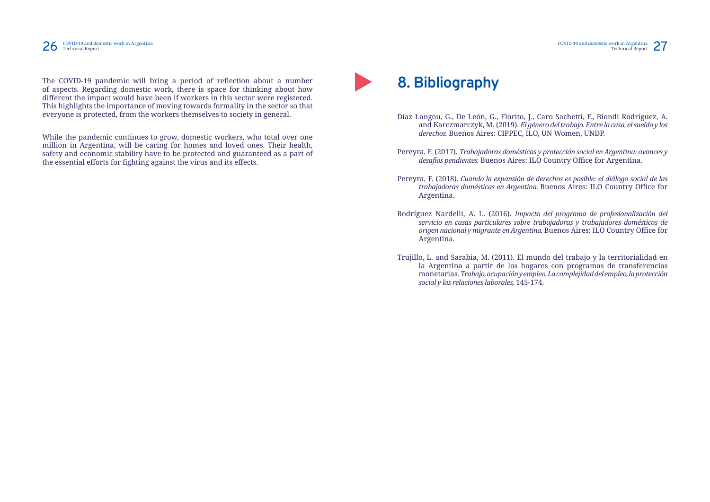#### 26 COVID-19 and domestic work in Argentina<br>Technical Report Technical Report Technical Report 26 COVID-19 and uvid

The COVID-19 pandemic will bring a period of reflection about a number of aspects. Regarding domestic work, there is space for thinking about how different the impact would have been if workers in this sector were registered. This highlights the importance of moving towards formality in the sector so that everyone is protected, from the workers themselves to society in general.

While the pandemic continues to grow, domestic workers, who total over one million in Argentina, will be caring for homes and loved ones. Their health, safety and economic stability have to be protected and guaranteed as a part of the essential efforts for fighting against the virus and its effects.



and Karczmarczyk, M. (2019). *El género del trabajo. Entre la casa, el sueldo y los* 

*trabajadoras domésticas en Argentina.* Buenos Aires: ILO Country Office for

- Díaz Langou, G., De León, G., Florito, J., Caro Sachetti, F., Biondi Rodríguez, A. *derechos.* Buenos Aires: CIPPEC, ILO, UN Women, UNDP.
- Pereyra, F. (2017). *Trabajadoras domésticas y protección social en Argentina: avances y desafíos pendientes.* Buenos Aires: ILO Country Office for Argentina.
- Pereyra, F. (2018). *Cuando la expansión de derechos es posible: el diálogo social de las*  Argentina.
- Rodríguez Nardelli, A. L. (2016). *Impacto del programa de profesionalización del*  Argentina.
- Trujillo, L. and Sarabia, M. (2011). El mundo del trabajo y la territorialidad en *social y las relaciones laborales,* 145-174.

COVID-19 and domestic work in Argentina COVID-19 and domestic work in Argentina COVID-19 and domestic work in Argentina COVID-19 and domestic work in Argentina Technical Report Technical Report  $\sim$ 

*servicio en casas particulares sobre trabajadoras y trabajadores domésticos de origen nacional y migrante en Argentina.* Buenos Aires: ILO Country Office for

la Argentina a partir de los hogares con programas de transferencias monetarias. *Trabajo, ocupación y empleo. La complejidad del empleo, la protección*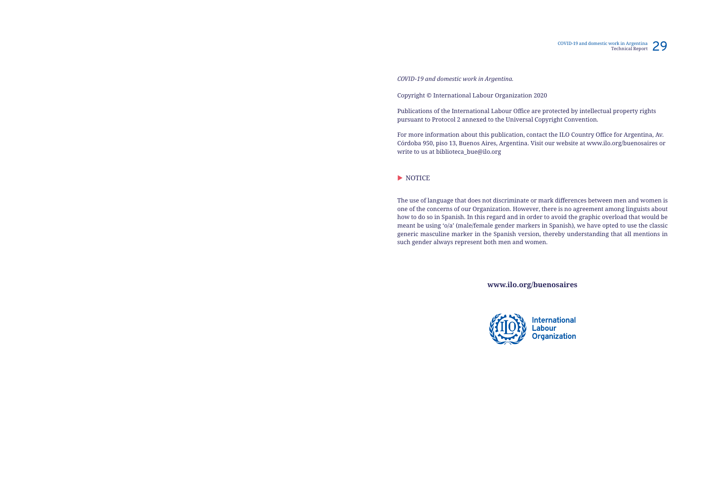COVID-19 and domestic work in Argentina Technical Report 29

**International** Labour<br>Organization

#### *COVID-19 and domestic work in Argentina.*

Copyright © International Labour Organization 2020

Publications of the International Labour Office are protected by intellectual property rights pursuant to Protocol 2 annexed to the Universal Copyright Convention.

For more information about this publication, contact the ILO Country Office for Argentina, Av. Córdoba 950, piso 13, Buenos Aires, Argentina. Visit our website at www.ilo.org/buenosaires or write to us at biblioteca\_bue@ilo.org

#### $\blacktriangleright$  NOTICE

The use of language that does not discriminate or mark differences between men and women is one of the concerns of our Organization. However, there is no agreement among linguists about how to do so in Spanish. In this regard and in order to avoid the graphic overload that would be meant be using 'o/a' (male/female gender markers in Spanish), we have opted to use the classic generic masculine marker in the Spanish version, thereby understanding that all mentions in such gender always represent both men and women.

**www.ilo.org/buenosaires**